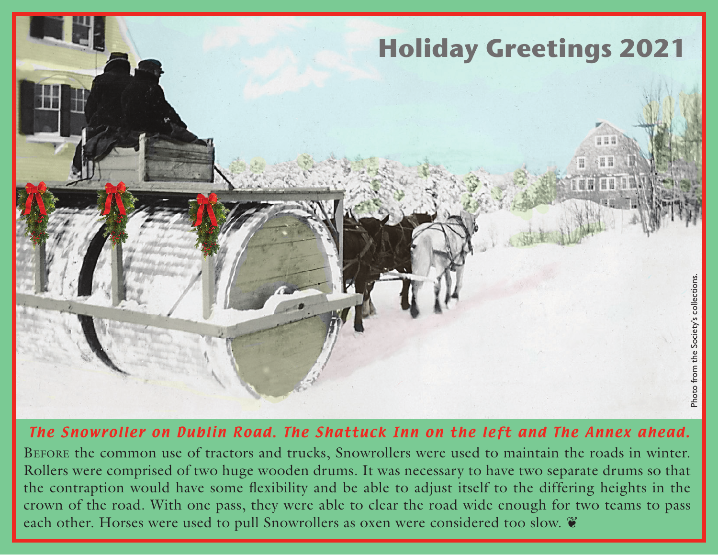

## The Snowroller on Dublin Road. The Shattuck Inn on the left and The Annex ahead.

Before the common use of tractors and trucks, Snowrollers were used to maintain the roads in winter. Rollers were comprised of two huge wooden drums. It was necessary to have two separate drums so that the contraption would have some flexibility and be able to adjust itself to the differing heights in the crown of the road. With one pass, they were able to clear the road wide enough for two teams to pass each other. Horses were used to pull Snowrollers as oxen were considered too slow.